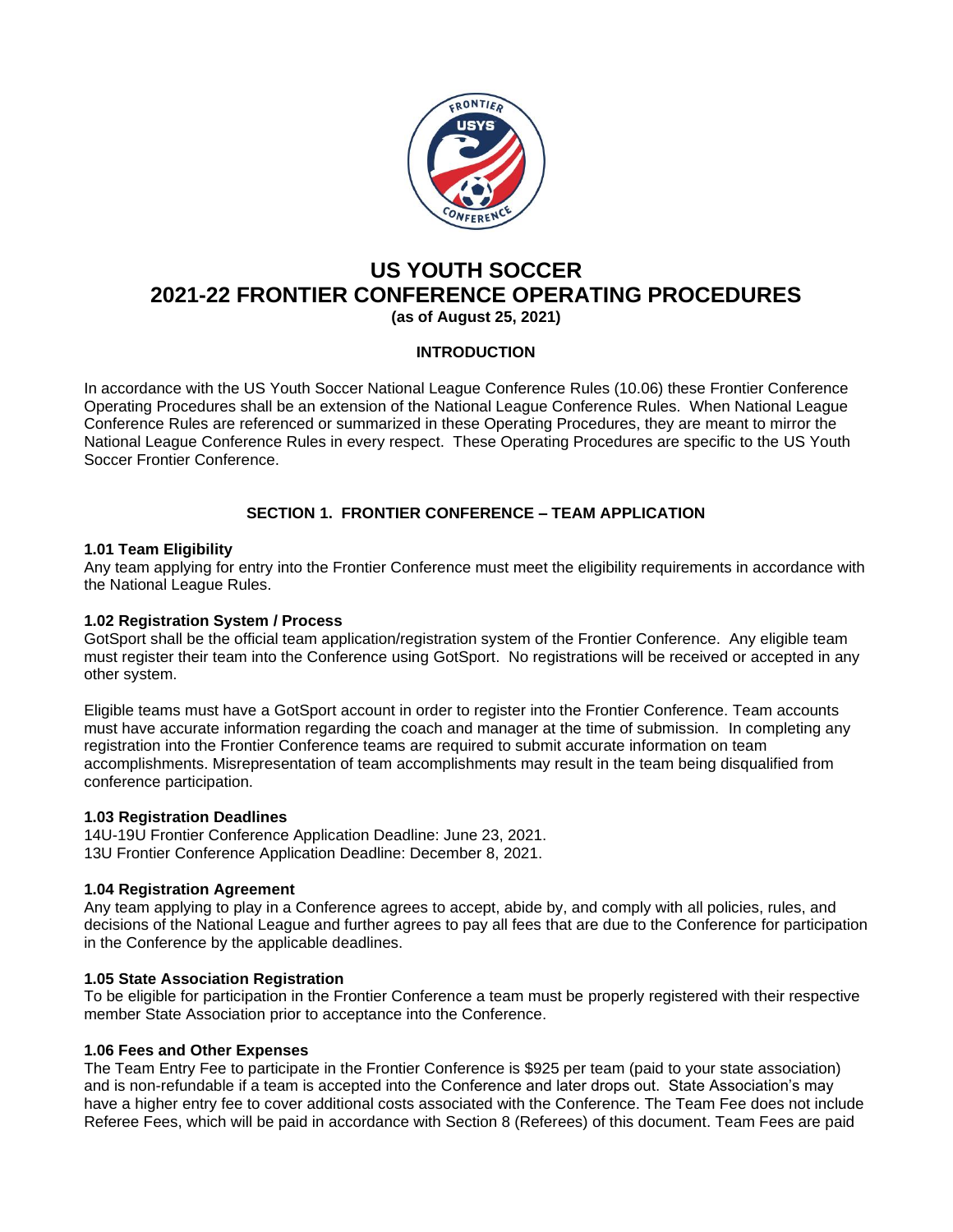

# **US YOUTH SOCCER 2021-22 FRONTIER CONFERENCE OPERATING PROCEDURES (as of August 25, 2021)**

### **INTRODUCTION**

In accordance with the US Youth Soccer National League Conference Rules (10.06) these Frontier Conference Operating Procedures shall be an extension of the National League Conference Rules. When National League Conference Rules are referenced or summarized in these Operating Procedures, they are meant to mirror the National League Conference Rules in every respect. These Operating Procedures are specific to the US Youth Soccer Frontier Conference.

## **SECTION 1. FRONTIER CONFERENCE – TEAM APPLICATION**

### **1.01 Team Eligibility**

Any team applying for entry into the Frontier Conference must meet the eligibility requirements in accordance with the National League Rules.

### **1.02 Registration System / Process**

GotSport shall be the official team application/registration system of the Frontier Conference. Any eligible team must register their team into the Conference using GotSport. No registrations will be received or accepted in any other system.

Eligible teams must have a GotSport account in order to register into the Frontier Conference. Team accounts must have accurate information regarding the coach and manager at the time of submission. In completing any registration into the Frontier Conference teams are required to submit accurate information on team accomplishments. Misrepresentation of team accomplishments may result in the team being disqualified from conference participation.

### **1.03 Registration Deadlines**

14U-19U Frontier Conference Application Deadline: June 23, 2021. 13U Frontier Conference Application Deadline: December 8, 2021.

### **1.04 Registration Agreement**

Any team applying to play in a Conference agrees to accept, abide by, and comply with all policies, rules, and decisions of the National League and further agrees to pay all fees that are due to the Conference for participation in the Conference by the applicable deadlines.

### **1.05 State Association Registration**

To be eligible for participation in the Frontier Conference a team must be properly registered with their respective member State Association prior to acceptance into the Conference.

### **1.06 Fees and Other Expenses**

The Team Entry Fee to participate in the Frontier Conference is \$925 per team (paid to your state association) and is non-refundable if a team is accepted into the Conference and later drops out. State Association's may have a higher entry fee to cover additional costs associated with the Conference. The Team Fee does not include Referee Fees, which will be paid in accordance with Section 8 (Referees) of this document. Team Fees are paid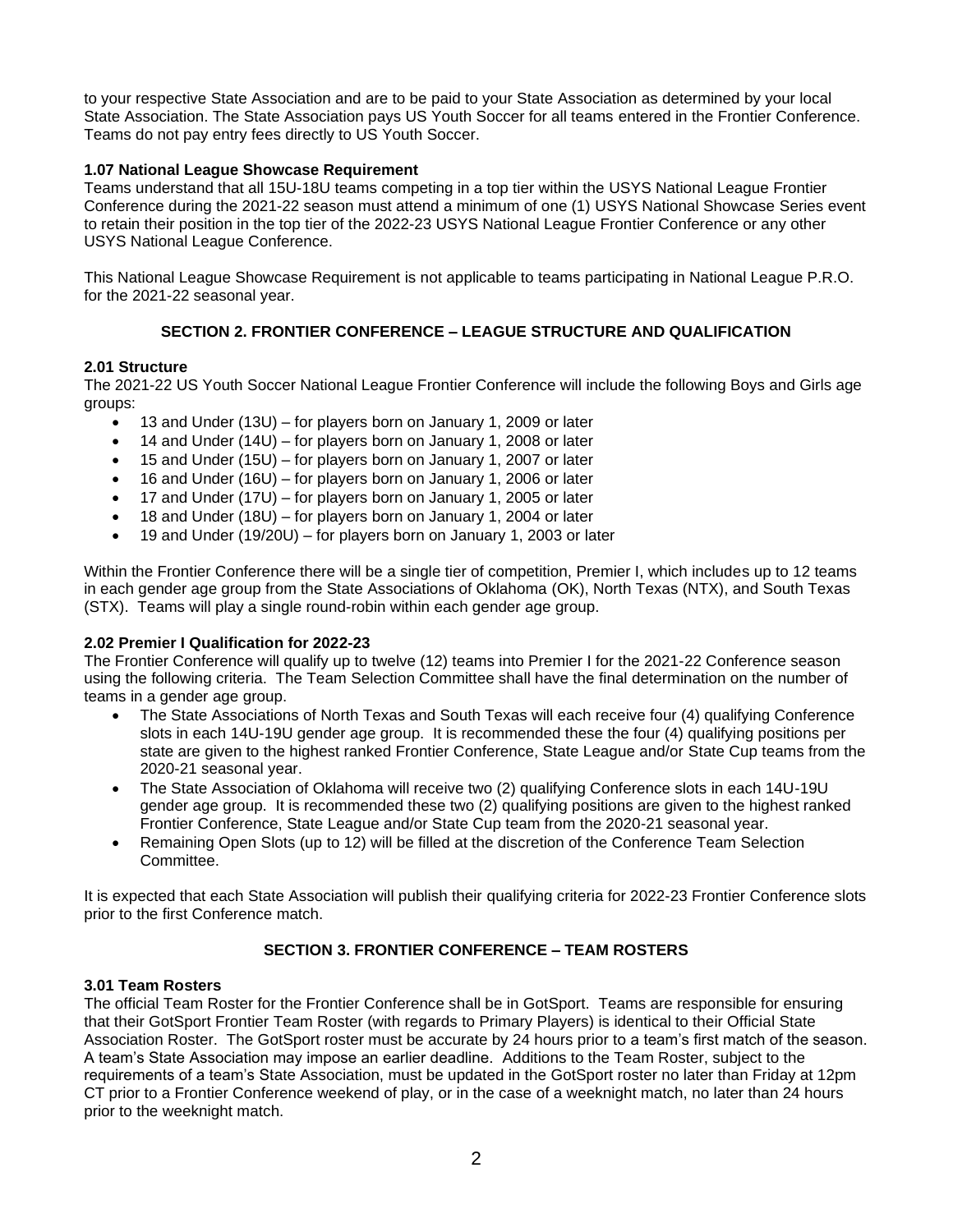to your respective State Association and are to be paid to your State Association as determined by your local State Association. The State Association pays US Youth Soccer for all teams entered in the Frontier Conference. Teams do not pay entry fees directly to US Youth Soccer.

### **1.07 National League Showcase Requirement**

Teams understand that all 15U-18U teams competing in a top tier within the USYS National League Frontier Conference during the 2021-22 season must attend a minimum of one (1) USYS National Showcase Series event to retain their position in the top tier of the 2022-23 USYS National League Frontier Conference or any other USYS National League Conference.

This National League Showcase Requirement is not applicable to teams participating in National League P.R.O. for the 2021-22 seasonal year.

## **SECTION 2. FRONTIER CONFERENCE – LEAGUE STRUCTURE AND QUALIFICATION**

### **2.01 Structure**

The 2021-22 US Youth Soccer National League Frontier Conference will include the following Boys and Girls age groups:

- 13 and Under (13U) for players born on January 1, 2009 or later
- 14 and Under (14U) for players born on January 1, 2008 or later
- 15 and Under (15U) for players born on January 1, 2007 or later
- 16 and Under (16U) for players born on January 1, 2006 or later
- 17 and Under (17U) for players born on January 1, 2005 or later
- 18 and Under (18U) for players born on January 1, 2004 or later
- 19 and Under (19/20U) for players born on January 1, 2003 or later

Within the Frontier Conference there will be a single tier of competition, Premier I, which includes up to 12 teams in each gender age group from the State Associations of Oklahoma (OK), North Texas (NTX), and South Texas (STX). Teams will play a single round-robin within each gender age group.

### **2.02 Premier I Qualification for 2022-23**

The Frontier Conference will qualify up to twelve (12) teams into Premier I for the 2021-22 Conference season using the following criteria. The Team Selection Committee shall have the final determination on the number of teams in a gender age group.

- The State Associations of North Texas and South Texas will each receive four (4) qualifying Conference slots in each 14U-19U gender age group. It is recommended these the four (4) qualifying positions per state are given to the highest ranked Frontier Conference, State League and/or State Cup teams from the 2020-21 seasonal year.
- The State Association of Oklahoma will receive two (2) qualifying Conference slots in each 14U-19U gender age group. It is recommended these two (2) qualifying positions are given to the highest ranked Frontier Conference, State League and/or State Cup team from the 2020-21 seasonal year.
- Remaining Open Slots (up to 12) will be filled at the discretion of the Conference Team Selection **Committee.**

It is expected that each State Association will publish their qualifying criteria for 2022-23 Frontier Conference slots prior to the first Conference match.

### **SECTION 3. FRONTIER CONFERENCE – TEAM ROSTERS**

### **3.01 Team Rosters**

The official Team Roster for the Frontier Conference shall be in GotSport. Teams are responsible for ensuring that their GotSport Frontier Team Roster (with regards to Primary Players) is identical to their Official State Association Roster. The GotSport roster must be accurate by 24 hours prior to a team's first match of the season. A team's State Association may impose an earlier deadline. Additions to the Team Roster, subject to the requirements of a team's State Association, must be updated in the GotSport roster no later than Friday at 12pm CT prior to a Frontier Conference weekend of play, or in the case of a weeknight match, no later than 24 hours prior to the weeknight match.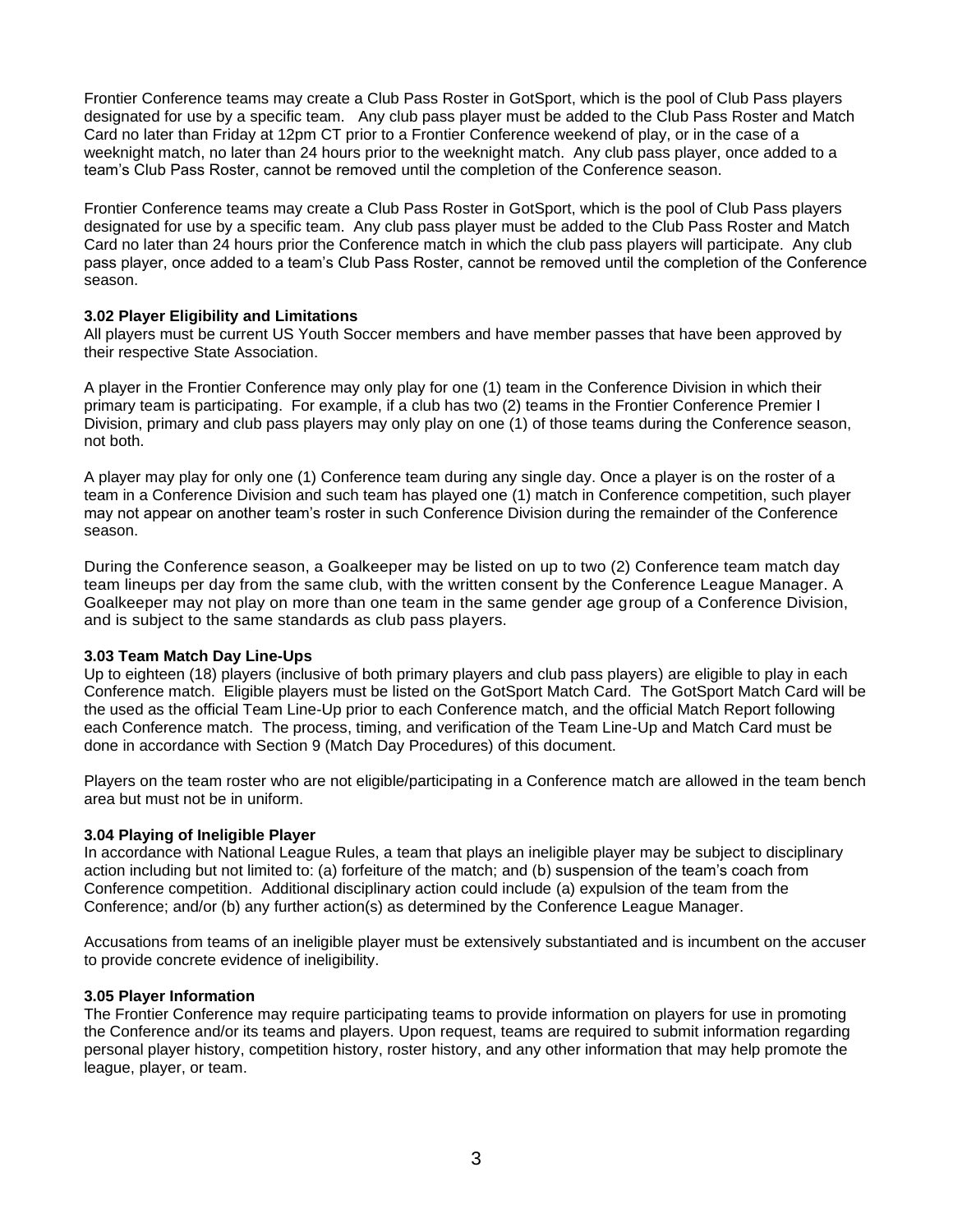Frontier Conference teams may create a Club Pass Roster in GotSport, which is the pool of Club Pass players designated for use by a specific team. Any club pass player must be added to the Club Pass Roster and Match Card no later than Friday at 12pm CT prior to a Frontier Conference weekend of play, or in the case of a weeknight match, no later than 24 hours prior to the weeknight match. Any club pass player, once added to a team's Club Pass Roster, cannot be removed until the completion of the Conference season.

Frontier Conference teams may create a Club Pass Roster in GotSport, which is the pool of Club Pass players designated for use by a specific team. Any club pass player must be added to the Club Pass Roster and Match Card no later than 24 hours prior the Conference match in which the club pass players will participate. Any club pass player, once added to a team's Club Pass Roster, cannot be removed until the completion of the Conference season.

### **3.02 Player Eligibility and Limitations**

All players must be current US Youth Soccer members and have member passes that have been approved by their respective State Association.

A player in the Frontier Conference may only play for one (1) team in the Conference Division in which their primary team is participating. For example, if a club has two (2) teams in the Frontier Conference Premier I Division, primary and club pass players may only play on one (1) of those teams during the Conference season, not both.

A player may play for only one (1) Conference team during any single day. Once a player is on the roster of a team in a Conference Division and such team has played one (1) match in Conference competition, such player may not appear on another team's roster in such Conference Division during the remainder of the Conference season.

During the Conference season, a Goalkeeper may be listed on up to two (2) Conference team match day team lineups per day from the same club, with the written consent by the Conference League Manager. A Goalkeeper may not play on more than one team in the same gender age group of a Conference Division, and is subject to the same standards as club pass players.

### **3.03 Team Match Day Line-Ups**

Up to eighteen (18) players (inclusive of both primary players and club pass players) are eligible to play in each Conference match. Eligible players must be listed on the GotSport Match Card. The GotSport Match Card will be the used as the official Team Line-Up prior to each Conference match, and the official Match Report following each Conference match. The process, timing, and verification of the Team Line-Up and Match Card must be done in accordance with Section 9 (Match Day Procedures) of this document.

Players on the team roster who are not eligible/participating in a Conference match are allowed in the team bench area but must not be in uniform.

### **3.04 Playing of Ineligible Player**

In accordance with National League Rules, a team that plays an ineligible player may be subject to disciplinary action including but not limited to: (a) forfeiture of the match; and (b) suspension of the team's coach from Conference competition. Additional disciplinary action could include (a) expulsion of the team from the Conference; and/or (b) any further action(s) as determined by the Conference League Manager.

Accusations from teams of an ineligible player must be extensively substantiated and is incumbent on the accuser to provide concrete evidence of ineligibility.

### **3.05 Player Information**

The Frontier Conference may require participating teams to provide information on players for use in promoting the Conference and/or its teams and players. Upon request, teams are required to submit information regarding personal player history, competition history, roster history, and any other information that may help promote the league, player, or team.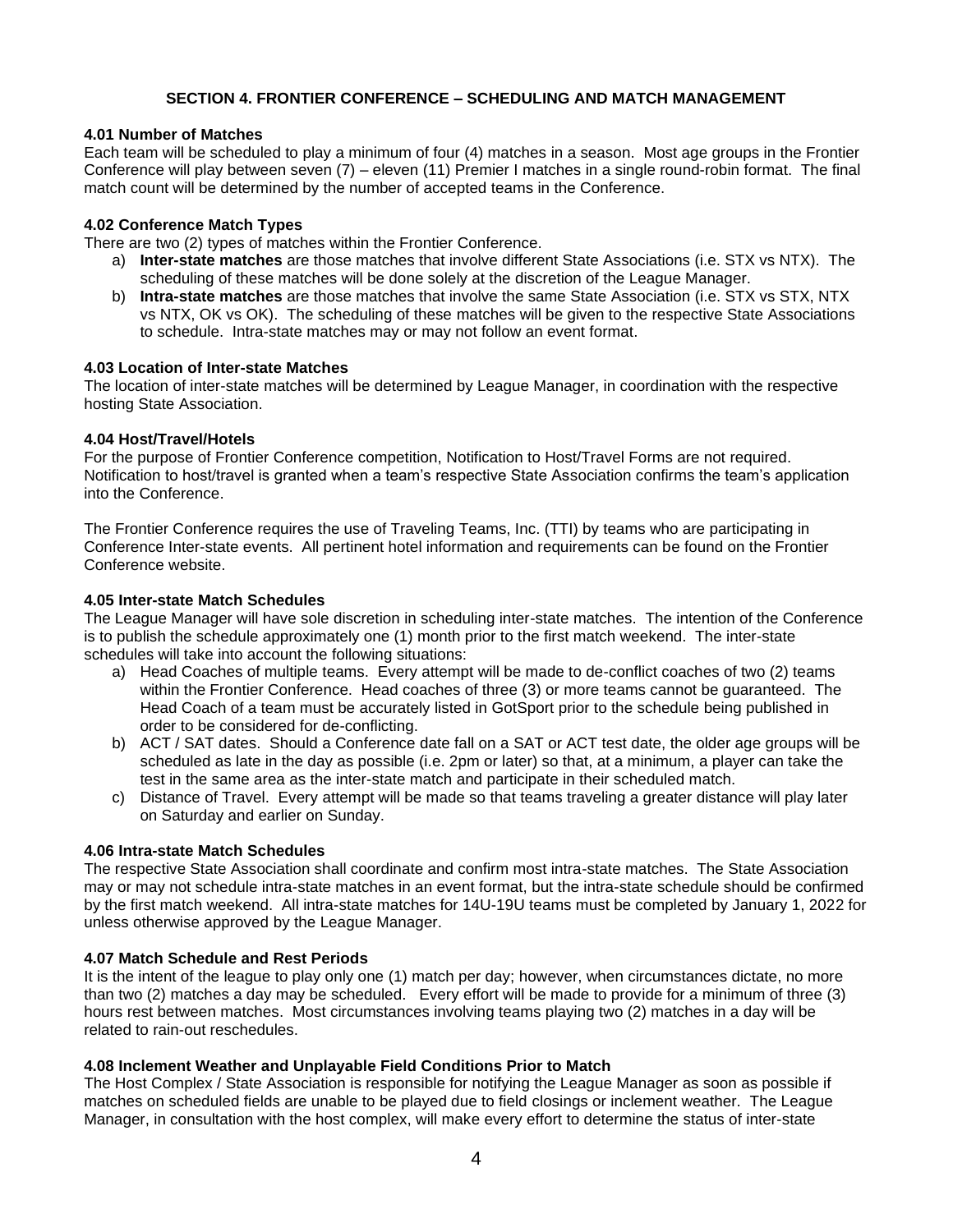### **SECTION 4. FRONTIER CONFERENCE – SCHEDULING AND MATCH MANAGEMENT**

#### **4.01 Number of Matches**

Each team will be scheduled to play a minimum of four (4) matches in a season. Most age groups in the Frontier Conference will play between seven (7) – eleven (11) Premier I matches in a single round-robin format. The final match count will be determined by the number of accepted teams in the Conference.

### **4.02 Conference Match Types**

There are two (2) types of matches within the Frontier Conference.

- a) **Inter-state matches** are those matches that involve different State Associations (i.e. STX vs NTX). The scheduling of these matches will be done solely at the discretion of the League Manager.
- b) **Intra-state matches** are those matches that involve the same State Association (i.e. STX vs STX, NTX vs NTX, OK vs OK). The scheduling of these matches will be given to the respective State Associations to schedule. Intra-state matches may or may not follow an event format.

#### **4.03 Location of Inter-state Matches**

The location of inter-state matches will be determined by League Manager, in coordination with the respective hosting State Association.

#### **4.04 Host/Travel/Hotels**

For the purpose of Frontier Conference competition, Notification to Host/Travel Forms are not required. Notification to host/travel is granted when a team's respective State Association confirms the team's application into the Conference.

The Frontier Conference requires the use of Traveling Teams, Inc. (TTI) by teams who are participating in Conference Inter-state events. All pertinent hotel information and requirements can be found on the Frontier Conference website.

#### **4.05 Inter-state Match Schedules**

The League Manager will have sole discretion in scheduling inter-state matches. The intention of the Conference is to publish the schedule approximately one (1) month prior to the first match weekend. The inter-state schedules will take into account the following situations:

- a) Head Coaches of multiple teams. Every attempt will be made to de-conflict coaches of two (2) teams within the Frontier Conference. Head coaches of three (3) or more teams cannot be guaranteed. The Head Coach of a team must be accurately listed in GotSport prior to the schedule being published in order to be considered for de-conflicting.
- b) ACT / SAT dates. Should a Conference date fall on a SAT or ACT test date, the older age groups will be scheduled as late in the day as possible (i.e. 2pm or later) so that, at a minimum, a player can take the test in the same area as the inter-state match and participate in their scheduled match.
- c) Distance of Travel. Every attempt will be made so that teams traveling a greater distance will play later on Saturday and earlier on Sunday.

#### **4.06 Intra-state Match Schedules**

The respective State Association shall coordinate and confirm most intra-state matches. The State Association may or may not schedule intra-state matches in an event format, but the intra-state schedule should be confirmed by the first match weekend. All intra-state matches for 14U-19U teams must be completed by January 1, 2022 for unless otherwise approved by the League Manager.

### **4.07 Match Schedule and Rest Periods**

It is the intent of the league to play only one (1) match per day; however, when circumstances dictate, no more than two (2) matches a day may be scheduled. Every effort will be made to provide for a minimum of three (3) hours rest between matches. Most circumstances involving teams playing two (2) matches in a day will be related to rain-out reschedules.

### **4.08 Inclement Weather and Unplayable Field Conditions Prior to Match**

The Host Complex / State Association is responsible for notifying the League Manager as soon as possible if matches on scheduled fields are unable to be played due to field closings or inclement weather. The League Manager, in consultation with the host complex, will make every effort to determine the status of inter-state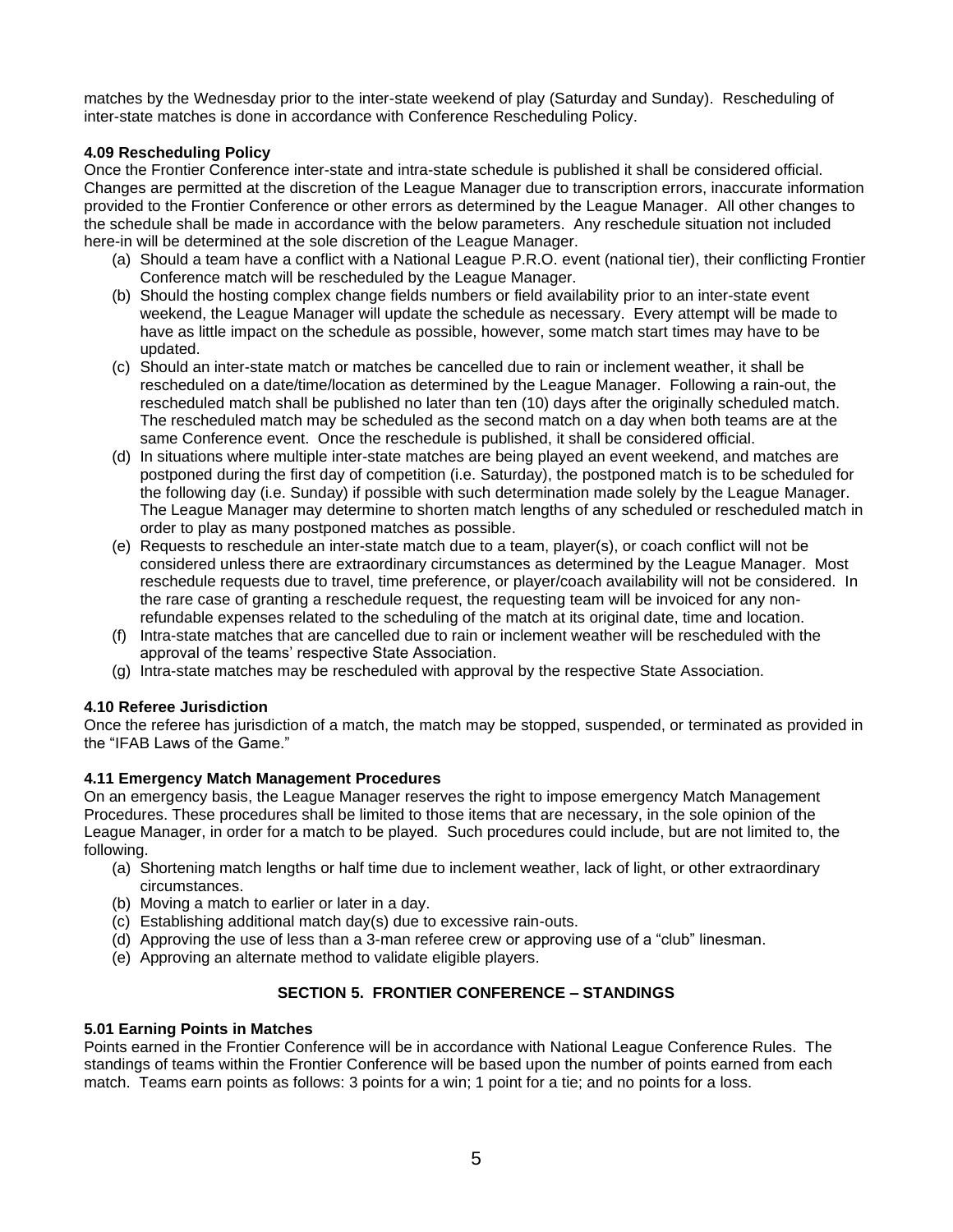matches by the Wednesday prior to the inter-state weekend of play (Saturday and Sunday). Rescheduling of inter-state matches is done in accordance with Conference Rescheduling Policy.

### **4.09 Rescheduling Policy**

Once the Frontier Conference inter-state and intra-state schedule is published it shall be considered official. Changes are permitted at the discretion of the League Manager due to transcription errors, inaccurate information provided to the Frontier Conference or other errors as determined by the League Manager. All other changes to the schedule shall be made in accordance with the below parameters. Any reschedule situation not included here-in will be determined at the sole discretion of the League Manager.

- (a) Should a team have a conflict with a National League P.R.O. event (national tier), their conflicting Frontier Conference match will be rescheduled by the League Manager.
- (b) Should the hosting complex change fields numbers or field availability prior to an inter-state event weekend, the League Manager will update the schedule as necessary. Every attempt will be made to have as little impact on the schedule as possible, however, some match start times may have to be updated.
- (c) Should an inter-state match or matches be cancelled due to rain or inclement weather, it shall be rescheduled on a date/time/location as determined by the League Manager. Following a rain-out, the rescheduled match shall be published no later than ten (10) days after the originally scheduled match. The rescheduled match may be scheduled as the second match on a day when both teams are at the same Conference event. Once the reschedule is published, it shall be considered official.
- (d) In situations where multiple inter-state matches are being played an event weekend, and matches are postponed during the first day of competition (i.e. Saturday), the postponed match is to be scheduled for the following day (i.e. Sunday) if possible with such determination made solely by the League Manager. The League Manager may determine to shorten match lengths of any scheduled or rescheduled match in order to play as many postponed matches as possible.
- (e) Requests to reschedule an inter-state match due to a team, player(s), or coach conflict will not be considered unless there are extraordinary circumstances as determined by the League Manager. Most reschedule requests due to travel, time preference, or player/coach availability will not be considered. In the rare case of granting a reschedule request, the requesting team will be invoiced for any nonrefundable expenses related to the scheduling of the match at its original date, time and location.
- (f) Intra-state matches that are cancelled due to rain or inclement weather will be rescheduled with the approval of the teams' respective State Association.
- (g) Intra-state matches may be rescheduled with approval by the respective State Association.

### **4.10 Referee Jurisdiction**

Once the referee has jurisdiction of a match, the match may be stopped, suspended, or terminated as provided in the "IFAB Laws of the Game."

### **4.11 Emergency Match Management Procedures**

On an emergency basis, the League Manager reserves the right to impose emergency Match Management Procedures. These procedures shall be limited to those items that are necessary, in the sole opinion of the League Manager, in order for a match to be played. Such procedures could include, but are not limited to, the following.

- (a) Shortening match lengths or half time due to inclement weather, lack of light, or other extraordinary circumstances.
- (b) Moving a match to earlier or later in a day.
- (c) Establishing additional match day(s) due to excessive rain-outs.
- (d) Approving the use of less than a 3-man referee crew or approving use of a "club" linesman.
- (e) Approving an alternate method to validate eligible players.

### **SECTION 5. FRONTIER CONFERENCE – STANDINGS**

### **5.01 Earning Points in Matches**

Points earned in the Frontier Conference will be in accordance with National League Conference Rules. The standings of teams within the Frontier Conference will be based upon the number of points earned from each match. Teams earn points as follows: 3 points for a win; 1 point for a tie; and no points for a loss.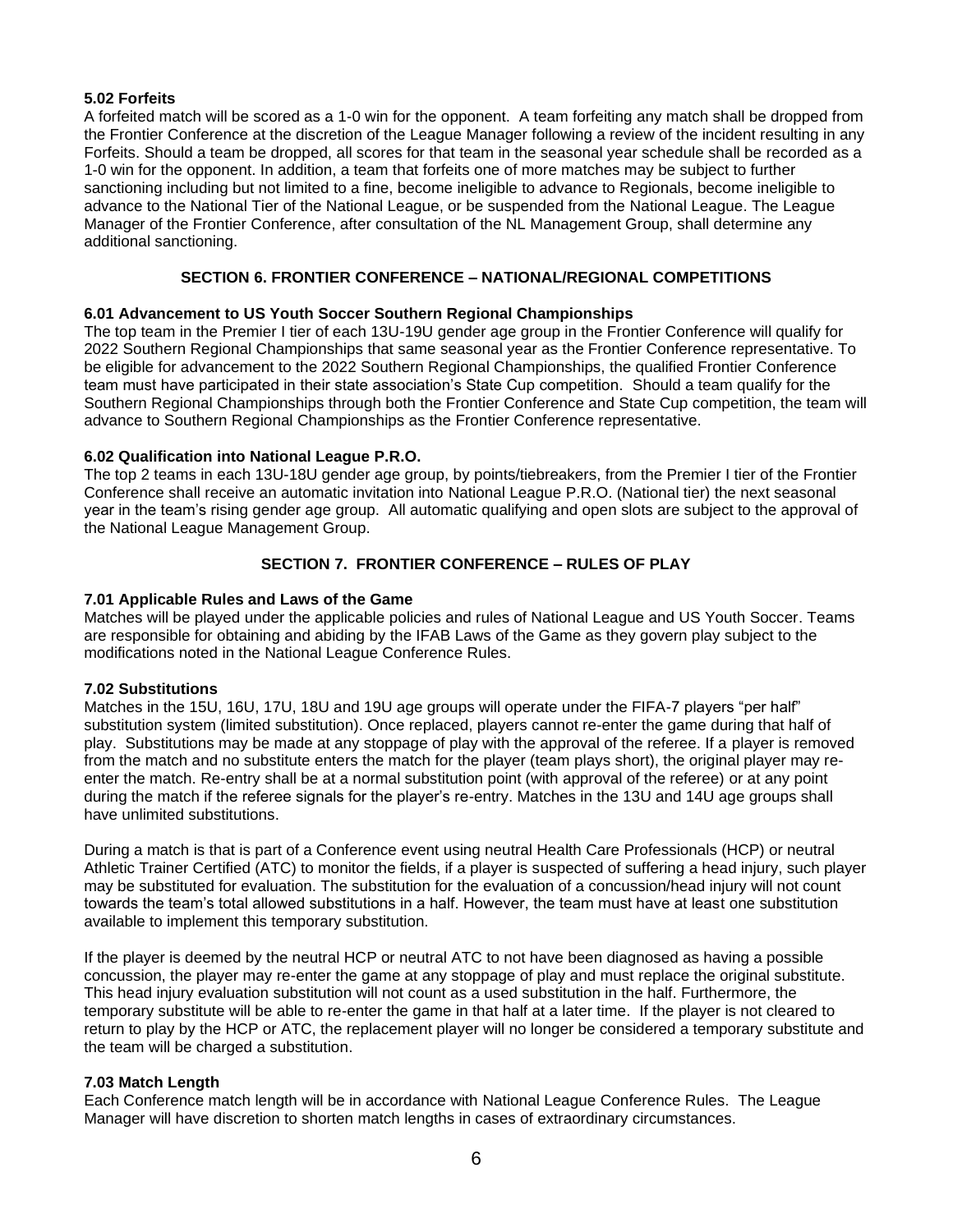### **5.02 Forfeits**

A forfeited match will be scored as a 1-0 win for the opponent. A team forfeiting any match shall be dropped from the Frontier Conference at the discretion of the League Manager following a review of the incident resulting in any Forfeits. Should a team be dropped, all scores for that team in the seasonal year schedule shall be recorded as a 1-0 win for the opponent. In addition, a team that forfeits one of more matches may be subject to further sanctioning including but not limited to a fine, become ineligible to advance to Regionals, become ineligible to advance to the National Tier of the National League, or be suspended from the National League. The League Manager of the Frontier Conference, after consultation of the NL Management Group, shall determine any additional sanctioning.

### **SECTION 6. FRONTIER CONFERENCE – NATIONAL/REGIONAL COMPETITIONS**

### **6.01 Advancement to US Youth Soccer Southern Regional Championships**

The top team in the Premier I tier of each 13U-19U gender age group in the Frontier Conference will qualify for 2022 Southern Regional Championships that same seasonal year as the Frontier Conference representative. To be eligible for advancement to the 2022 Southern Regional Championships, the qualified Frontier Conference team must have participated in their state association's State Cup competition. Should a team qualify for the Southern Regional Championships through both the Frontier Conference and State Cup competition, the team will advance to Southern Regional Championships as the Frontier Conference representative.

### **6.02 Qualification into National League P.R.O.**

The top 2 teams in each 13U-18U gender age group, by points/tiebreakers, from the Premier I tier of the Frontier Conference shall receive an automatic invitation into National League P.R.O. (National tier) the next seasonal year in the team's rising gender age group. All automatic qualifying and open slots are subject to the approval of the National League Management Group.

### **SECTION 7. FRONTIER CONFERENCE – RULES OF PLAY**

### **7.01 Applicable Rules and Laws of the Game**

Matches will be played under the applicable policies and rules of National League and US Youth Soccer. Teams are responsible for obtaining and abiding by the IFAB Laws of the Game as they govern play subject to the modifications noted in the National League Conference Rules.

### **7.02 Substitutions**

Matches in the 15U, 16U, 17U, 18U and 19U age groups will operate under the FIFA-7 players "per half" substitution system (limited substitution). Once replaced, players cannot re-enter the game during that half of play. Substitutions may be made at any stoppage of play with the approval of the referee. If a player is removed from the match and no substitute enters the match for the player (team plays short), the original player may reenter the match. Re-entry shall be at a normal substitution point (with approval of the referee) or at any point during the match if the referee signals for the player's re-entry. Matches in the 13U and 14U age groups shall have unlimited substitutions.

During a match is that is part of a Conference event using neutral Health Care Professionals (HCP) or neutral Athletic Trainer Certified (ATC) to monitor the fields, if a player is suspected of suffering a head injury, such player may be substituted for evaluation. The substitution for the evaluation of a concussion/head injury will not count towards the team's total allowed substitutions in a half. However, the team must have at least one substitution available to implement this temporary substitution.

If the player is deemed by the neutral HCP or neutral ATC to not have been diagnosed as having a possible concussion, the player may re-enter the game at any stoppage of play and must replace the original substitute. This head injury evaluation substitution will not count as a used substitution in the half. Furthermore, the temporary substitute will be able to re-enter the game in that half at a later time. If the player is not cleared to return to play by the HCP or ATC, the replacement player will no longer be considered a temporary substitute and the team will be charged a substitution.

### **7.03 Match Length**

Each Conference match length will be in accordance with National League Conference Rules. The League Manager will have discretion to shorten match lengths in cases of extraordinary circumstances.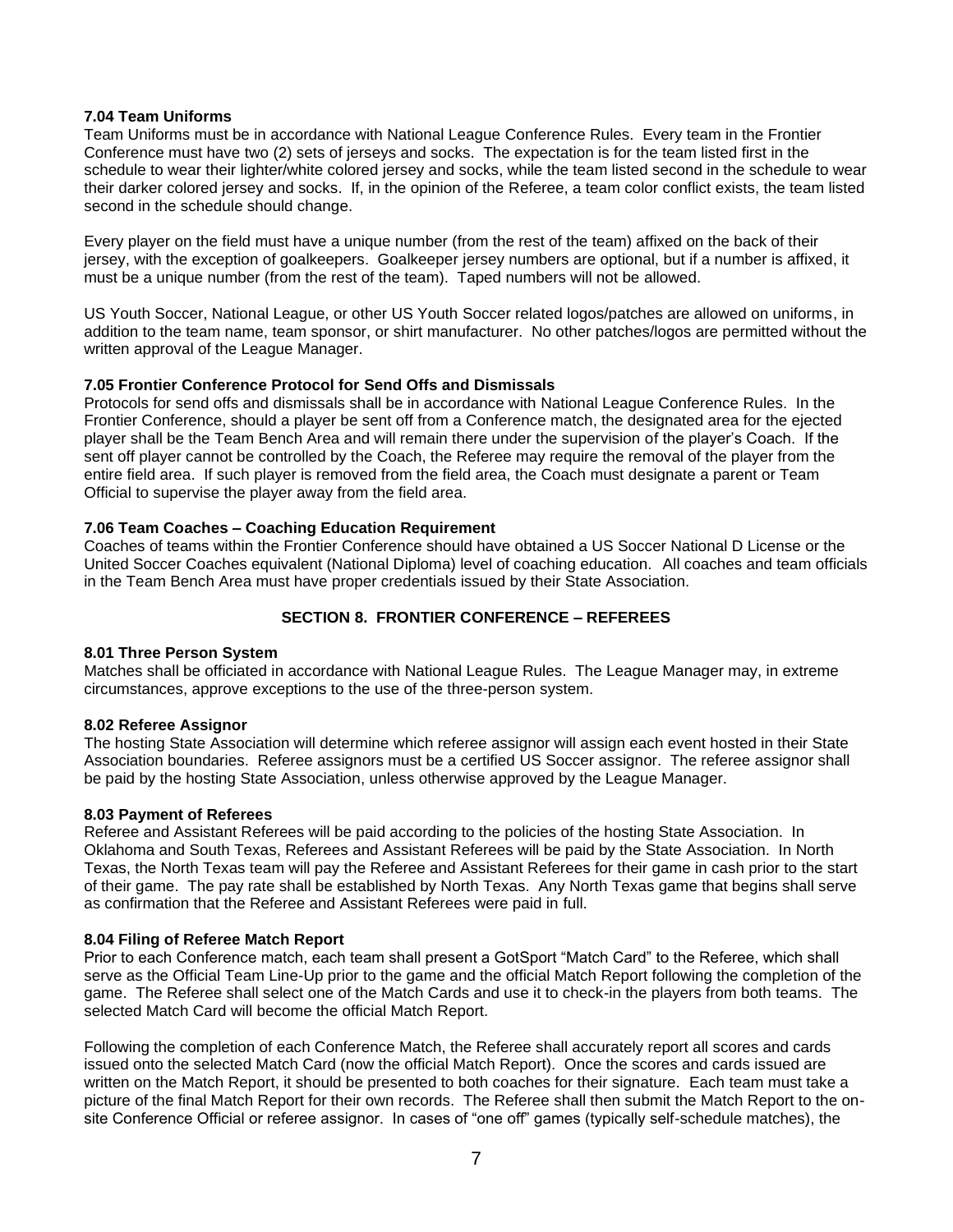### **7.04 Team Uniforms**

Team Uniforms must be in accordance with National League Conference Rules. Every team in the Frontier Conference must have two (2) sets of jerseys and socks. The expectation is for the team listed first in the schedule to wear their lighter/white colored jersey and socks, while the team listed second in the schedule to wear their darker colored jersey and socks. If, in the opinion of the Referee, a team color conflict exists, the team listed second in the schedule should change.

Every player on the field must have a unique number (from the rest of the team) affixed on the back of their jersey, with the exception of goalkeepers. Goalkeeper jersey numbers are optional, but if a number is affixed, it must be a unique number (from the rest of the team). Taped numbers will not be allowed.

US Youth Soccer, National League, or other US Youth Soccer related logos/patches are allowed on uniforms, in addition to the team name, team sponsor, or shirt manufacturer. No other patches/logos are permitted without the written approval of the League Manager.

### **7.05 Frontier Conference Protocol for Send Offs and Dismissals**

Protocols for send offs and dismissals shall be in accordance with National League Conference Rules. In the Frontier Conference, should a player be sent off from a Conference match, the designated area for the ejected player shall be the Team Bench Area and will remain there under the supervision of the player's Coach. If the sent off player cannot be controlled by the Coach, the Referee may require the removal of the player from the entire field area. If such player is removed from the field area, the Coach must designate a parent or Team Official to supervise the player away from the field area.

### **7.06 Team Coaches – Coaching Education Requirement**

Coaches of teams within the Frontier Conference should have obtained a US Soccer National D License or the United Soccer Coaches equivalent (National Diploma) level of coaching education. All coaches and team officials in the Team Bench Area must have proper credentials issued by their State Association.

### **SECTION 8. FRONTIER CONFERENCE – REFEREES**

### **8.01 Three Person System**

Matches shall be officiated in accordance with National League Rules. The League Manager may, in extreme circumstances, approve exceptions to the use of the three-person system.

### **8.02 Referee Assignor**

The hosting State Association will determine which referee assignor will assign each event hosted in their State Association boundaries. Referee assignors must be a certified US Soccer assignor. The referee assignor shall be paid by the hosting State Association, unless otherwise approved by the League Manager.

### **8.03 Payment of Referees**

Referee and Assistant Referees will be paid according to the policies of the hosting State Association. In Oklahoma and South Texas, Referees and Assistant Referees will be paid by the State Association. In North Texas, the North Texas team will pay the Referee and Assistant Referees for their game in cash prior to the start of their game. The pay rate shall be established by North Texas. Any North Texas game that begins shall serve as confirmation that the Referee and Assistant Referees were paid in full.

### **8.04 Filing of Referee Match Report**

Prior to each Conference match, each team shall present a GotSport "Match Card" to the Referee, which shall serve as the Official Team Line-Up prior to the game and the official Match Report following the completion of the game. The Referee shall select one of the Match Cards and use it to check-in the players from both teams. The selected Match Card will become the official Match Report.

Following the completion of each Conference Match, the Referee shall accurately report all scores and cards issued onto the selected Match Card (now the official Match Report). Once the scores and cards issued are written on the Match Report, it should be presented to both coaches for their signature. Each team must take a picture of the final Match Report for their own records. The Referee shall then submit the Match Report to the onsite Conference Official or referee assignor. In cases of "one off" games (typically self-schedule matches), the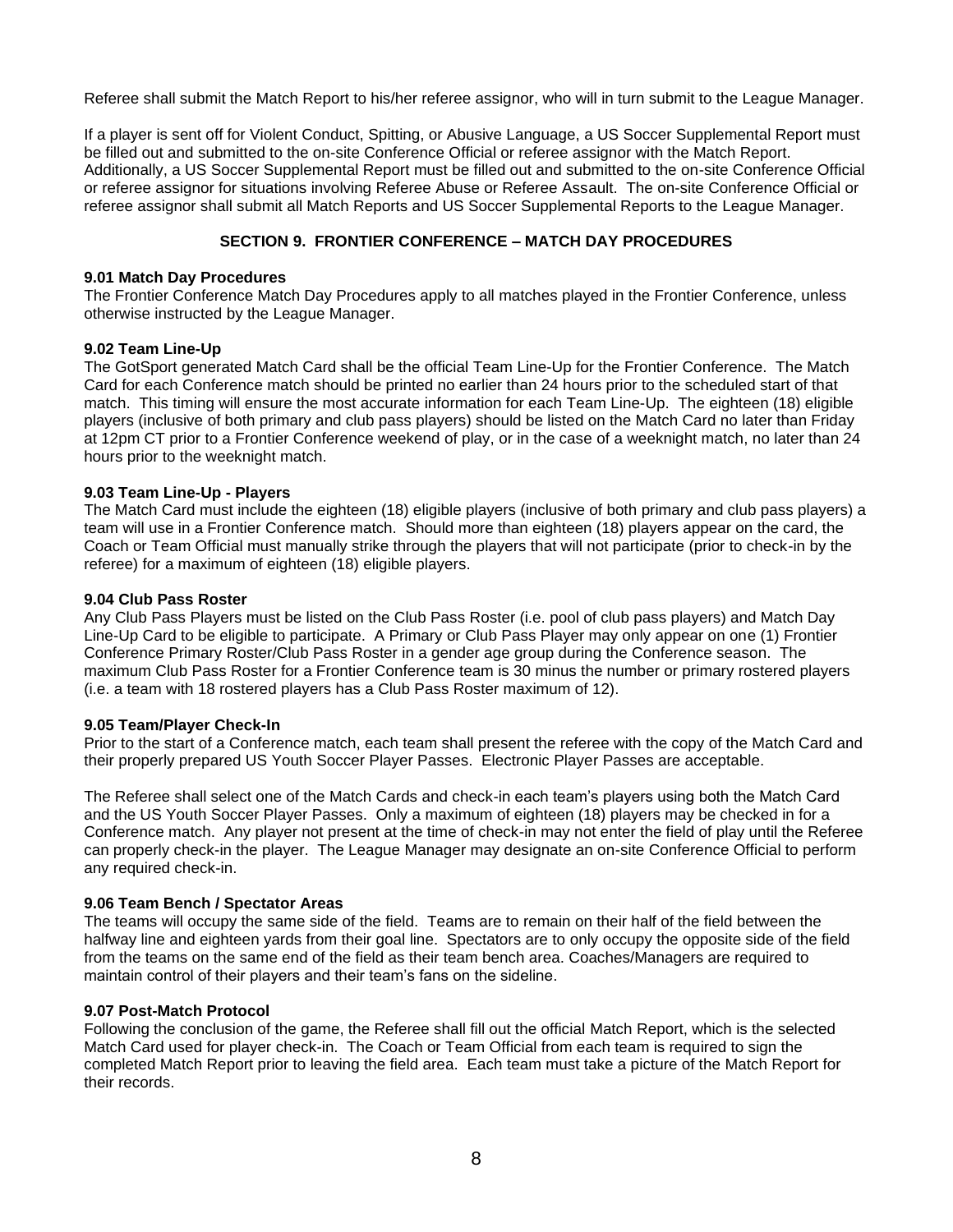Referee shall submit the Match Report to his/her referee assignor, who will in turn submit to the League Manager.

If a player is sent off for Violent Conduct, Spitting, or Abusive Language, a US Soccer Supplemental Report must be filled out and submitted to the on-site Conference Official or referee assignor with the Match Report. Additionally, a US Soccer Supplemental Report must be filled out and submitted to the on-site Conference Official or referee assignor for situations involving Referee Abuse or Referee Assault. The on-site Conference Official or referee assignor shall submit all Match Reports and US Soccer Supplemental Reports to the League Manager.

# **SECTION 9. FRONTIER CONFERENCE – MATCH DAY PROCEDURES**

#### **9.01 Match Day Procedures**

The Frontier Conference Match Day Procedures apply to all matches played in the Frontier Conference, unless otherwise instructed by the League Manager.

### **9.02 Team Line-Up**

The GotSport generated Match Card shall be the official Team Line-Up for the Frontier Conference. The Match Card for each Conference match should be printed no earlier than 24 hours prior to the scheduled start of that match. This timing will ensure the most accurate information for each Team Line-Up. The eighteen (18) eligible players (inclusive of both primary and club pass players) should be listed on the Match Card no later than Friday at 12pm CT prior to a Frontier Conference weekend of play, or in the case of a weeknight match, no later than 24 hours prior to the weeknight match.

### **9.03 Team Line-Up - Players**

The Match Card must include the eighteen (18) eligible players (inclusive of both primary and club pass players) a team will use in a Frontier Conference match. Should more than eighteen (18) players appear on the card, the Coach or Team Official must manually strike through the players that will not participate (prior to check-in by the referee) for a maximum of eighteen (18) eligible players.

#### **9.04 Club Pass Roster**

Any Club Pass Players must be listed on the Club Pass Roster (i.e. pool of club pass players) and Match Day Line-Up Card to be eligible to participate. A Primary or Club Pass Player may only appear on one (1) Frontier Conference Primary Roster/Club Pass Roster in a gender age group during the Conference season. The maximum Club Pass Roster for a Frontier Conference team is 30 minus the number or primary rostered players (i.e. a team with 18 rostered players has a Club Pass Roster maximum of 12).

#### **9.05 Team/Player Check-In**

Prior to the start of a Conference match, each team shall present the referee with the copy of the Match Card and their properly prepared US Youth Soccer Player Passes. Electronic Player Passes are acceptable.

The Referee shall select one of the Match Cards and check-in each team's players using both the Match Card and the US Youth Soccer Player Passes. Only a maximum of eighteen (18) players may be checked in for a Conference match. Any player not present at the time of check-in may not enter the field of play until the Referee can properly check-in the player. The League Manager may designate an on-site Conference Official to perform any required check-in.

### **9.06 Team Bench / Spectator Areas**

The teams will occupy the same side of the field. Teams are to remain on their half of the field between the halfway line and eighteen yards from their goal line. Spectators are to only occupy the opposite side of the field from the teams on the same end of the field as their team bench area. Coaches/Managers are required to maintain control of their players and their team's fans on the sideline.

### **9.07 Post-Match Protocol**

Following the conclusion of the game, the Referee shall fill out the official Match Report, which is the selected Match Card used for player check-in. The Coach or Team Official from each team is required to sign the completed Match Report prior to leaving the field area. Each team must take a picture of the Match Report for their records.